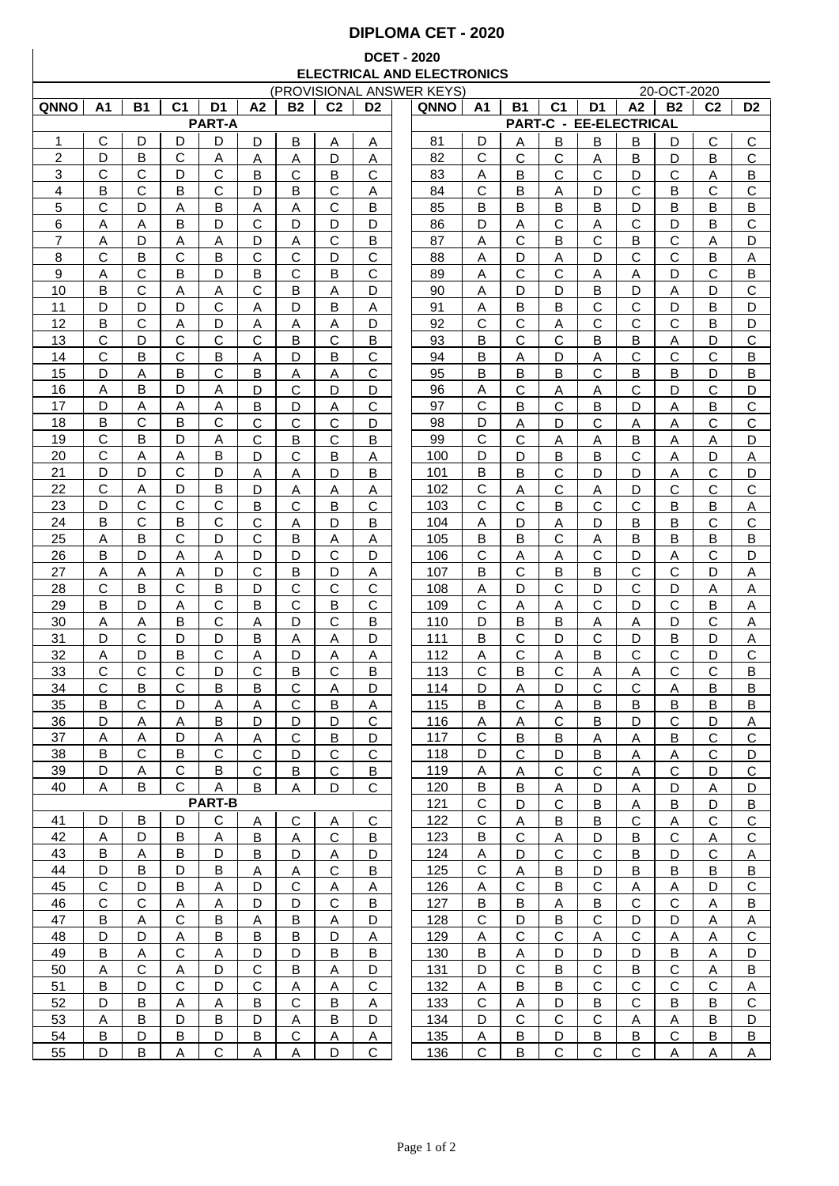## **DIPLOMA CET - 2020**

## **DCET - 2020 ELECTRICAL AND ELECTRONICS**

|                | (PROVISIONAL ANSWER KEYS) |                |                |                         |                |              |                |                |  |             | 20-OCT-2020    |                         |                         |                |                        |                         |                |                |
|----------------|---------------------------|----------------|----------------|-------------------------|----------------|--------------|----------------|----------------|--|-------------|----------------|-------------------------|-------------------------|----------------|------------------------|-------------------------|----------------|----------------|
| <b>QNNO</b>    | A1                        | <b>B1</b>      | C <sub>1</sub> | D1                      | A <sub>2</sub> | <b>B2</b>    | C <sub>2</sub> | D <sub>2</sub> |  | <b>QNNO</b> | Α1             | <b>B1</b>               | C <sub>1</sub>          | D1             | A <sub>2</sub>         | <b>B2</b>               | C <sub>2</sub> | D <sub>2</sub> |
|                |                           |                |                | <b>PART-A</b>           |                |              |                |                |  |             |                |                         |                         |                | PART-C - EE-ELECTRICAL |                         |                |                |
| 1              | С                         | D              | D              | D                       | D              | B            | Α              | Α              |  | 81          | D              | Α                       | B                       | B              | B                      | D                       | С              | $\mathsf C$    |
| $\overline{2}$ | D                         | B              | С              | А                       | A              | А            | D              | A              |  | 82          | C              | С                       | С                       | Α              | B                      | D                       | B              | $\mathsf{C}$   |
| 3              | С                         | С              | D              | C                       | B              | С            | B              | C              |  | 83          | Α              | B                       | $\mathsf{C}$            | С              | D                      | С                       | Α              | B              |
| 4              | Β                         | С              | B              | $\mathsf{C}$            | D              | B            | $\mathsf{C}$   | Α              |  | 84          | C              | В                       | Α                       | D              | $\mathsf{C}$           | В                       | C              | $\mathsf{C}$   |
|                |                           |                |                |                         |                |              |                |                |  |             |                |                         |                         |                |                        |                         |                |                |
| 5              | C                         | D              | A              | B                       | A              | Α            | $\mathsf{C}$   | B              |  | 85          | B              | В                       | B                       | B              | D                      | В                       | B              | B              |
| 6              | Α                         | Α              | B              | D                       | $\mathsf{C}$   | D            | D              | D              |  | 86          | D              | Α                       | $\mathbf C$             | Α              | $\mathsf{C}$           | D                       | B              | $\mathsf C$    |
| 7              | Α                         | D              | Α              | A                       | D              | Α            | $\mathsf{C}$   | B              |  | 87          | A              | C                       | B                       | C              | B                      | $\mathsf{C}$            | A              | D              |
| 8              | C                         | В              | C              | B                       | $\mathsf{C}$   | $\mathsf{C}$ | D              | $\mathsf{C}$   |  | 88          | A              | D                       | A                       | D              | $\mathsf{C}$           | $\mathsf{C}$            | B              | $\overline{A}$ |
| 9              | Α                         | С              | B              | D                       | B              | C            | B              | C              |  | 89          | Α              | C                       | $\mathsf{C}$            | Α              | A                      | D                       | C              | B              |
| 10             | B                         | С              | Α              | A                       | $\mathsf{C}$   | B            | Α              | D              |  | 90          | A              | D                       | D                       | B              | D                      | Α                       | D              | $\mathsf{C}$   |
| 11             | D                         | D              | D              | C                       | Α              | D            | B              | Α              |  | 91          | Α              | B                       | B                       | C              | C                      | D                       | B              | D              |
| 12             | B                         | C              | Α              | D                       | Α              | Α            | A              | D              |  | 92          | С              | С                       | Α                       | C              | C                      | C                       | B              | D              |
| 13             | C                         | D              | C              | С                       | $\mathbf C$    | B            | $\mathsf{C}$   | Β              |  | 93          | B              | C                       | C                       | B              | B                      | A                       | D              | $\mathsf C$    |
| 14             | C                         | B              | С              | В                       | Α              | D            | B              | С              |  | 94          | B              | Α                       | D                       | Α              | C                      | C                       | C              | B              |
| 15             | D                         | Α              | в              | С                       | B              | Α            | Α              | С              |  | 95          | B              | в                       | в                       | С              | в                      | в                       | D              | B              |
| 16             | Α                         | B              | D              | Α                       | D              | C            | D              | D              |  | 96          | Α              | С                       | Α                       | Α              | С                      | D                       | С              | D              |
| 17             | D                         | Α              | Α              | Α                       | B              | D            | Α              | C              |  | 97          | C              | Β                       | C                       | В              | D                      | Α                       | B              | $\mathsf C$    |
| 18             | B                         | C              | в              | C                       | C              | С            | C              | D              |  | 98          | D              | Α                       | D                       | C              | A                      | Α                       | C              | $\mathsf C$    |
| 19             | $\mathsf{C}$              | B              | D              | Α                       | $\mathsf{C}$   | Β            | $\mathsf{C}$   | Β              |  | 99          | C              | C                       | Α                       | Α              | B                      | Α                       | Α              | D              |
| 20             | $\mathsf{C}$              | Α              | Α              | B                       | D              | C            | B              | Α              |  | 100         | D              | D                       | B                       | B              | $\mathsf{C}$           | Α                       | D              |                |
| 21             | D                         | D              | С              | D                       |                |              | D              |                |  | 101         | B              | B                       | $\mathsf{C}$            | D              | D                      |                         | C              | Α<br>D         |
|                |                           |                |                |                         | Α              | Α            |                | В              |  |             |                |                         |                         |                |                        | Α                       |                |                |
| 22             | C                         | Α              | D              | B                       | D              | Α            | Α              | Α              |  | 102         | $\mathsf{C}$   | Α                       | C                       | Α              | D                      | C                       | C              | C              |
| 23             | D                         | C              | $\mathsf{C}$   | $\mathsf{C}$            | B              | Ć            | $\mathsf B$    | $\mathsf{C}$   |  | 103         | $\mathsf{C}$   | $\mathsf{C}$            | B                       | $\mathsf{C}$   | $\mathbf C$            | B                       | B              | Α              |
| 24             | В                         | C              | в              | С                       | C              | Α            | D              | В              |  | 104         | Α              | D                       | Α                       | D              | B                      | в                       | C              | $\mathsf C$    |
| 25             | Α                         | B              | C              | D                       | $\mathbf C$    | B            | Α              | Α              |  | 105         | B              | в                       | C                       | Α              | B                      | B                       | B              | B              |
| 26             | B                         | D              | А              | A                       | D              | D            | $\mathsf{C}$   | D              |  | 106         | C              | Α                       | A                       | С              | D                      | Α                       | C              | D              |
| 27             | Α                         | Α              | Α              | D                       | $\mathsf{C}$   | B            | D              | Α              |  | 107         | B              | С                       | в                       | B              | $\mathsf{C}$           | C                       | D              | Α              |
| 28             | С                         | B              | С              | B                       | D              | С            | C              | С              |  | 108         | Α              | D                       | C                       | D              | C                      | D                       | Α              | Α              |
| 29             | B                         | D              | Α              | $\mathsf C$             | B              | C            | B              | Ċ              |  | 109         | C              | Α                       | Α                       | C              | D                      | $\mathsf{C}$            | B              | Α              |
| 30             | Α                         | Α              | В              | $\mathbf C$             | Α              | D            | $\mathsf{C}$   | B              |  | 110         | D              | В                       | B                       | Α              | Α                      | D                       | C              | Α              |
| 31             | D                         | С              | D              | D                       | B              | Α            | A              | D              |  | 111         | B              | $\mathsf{C}$            | D                       | C              | D                      | В                       | D              | Α              |
| 32             | Α                         | D              | B              | $\mathbf C$             | Α              | D            | A              | Α              |  | 112         | Α              | $\mathsf{C}$            | Α                       | B              | $\mathsf{C}$           | $\mathsf{C}$            | D              | $\mathsf C$    |
| 33             | C                         | C              | C              | D                       | $\mathsf{C}$   | B            | $\mathsf{C}$   | B              |  | 113         | $\mathsf{C}$   | B                       | C                       | Α              | Α                      | C                       | C              | B              |
| 34             | C                         | В              | C              | B                       | B              | С            | Α              | D              |  | 114         | D              | Α                       | D                       | C              | $\mathsf{C}$           | Α                       | В              | В              |
| 35             | B                         | С              | D              | А                       | Α              | С            | B              | Α              |  | 115         | B              | $\mathsf{C}$            | Α                       | B              | B                      | B                       | B              | B              |
| <u>36</u>      | D                         | A              | A              | B                       | D              | D            | D              | C              |  | 116         | <u>A</u>       | A                       | C                       | <u>B</u>       | D                      | C                       | D              | A              |
| 37             | A                         | A              | D              | A                       | A              | $\mathsf{C}$ | B              | D              |  | 117         | C              | $\overline{B}$          | B                       | <u>A</u>       | <u>A</u>               | B                       | C              | $\overline{C}$ |
| 38             | В                         | C              | B              | $\mathsf{C}$            | $\mathsf{C}$   | D            | C              | $\mathsf{C}$   |  | 118         | D              | $\mathbf C$             | D                       | B              | $\mathsf{A}$           | $\mathsf{A}$            | C              | D              |
|                | D                         |                | $\mathsf{C}$   | B                       | $\mathsf{C}$   | B            | C              | В              |  | 119         |                |                         | $\mathsf C$             | $\mathsf{C}$   |                        | C                       | D              | C              |
| 39             |                           | $\overline{A}$ | $\mathbf{C}$   |                         |                |              |                |                |  |             | $\overline{A}$ | $\overline{\mathsf{A}}$ |                         |                | A                      |                         |                |                |
| 40             | A                         | B              |                | A<br><b>PART-B</b>      | B              | A            | D              | C              |  | 120         | B              | В                       | $\mathsf{A}$            | D              | $\mathsf{A}$           | D                       | $\overline{A}$ | D              |
|                |                           |                |                |                         |                |              |                |                |  | 121         | C              | D                       | С                       | B              | <u>A</u>               | B                       | D              | $\overline{B}$ |
| 41             | D                         | В              | D              | C                       | A              | $\mathsf C$  | Α              | C              |  | 122         | $\mathbf C$    | Α                       | B                       | В              | $\mathsf{C}$           | A                       | $\mathsf{C}$   | $\mathsf C$    |
| 42             | Α                         | D              | В              | A                       | B              | Α            | С              | В              |  | 123         | B              | C                       | $\overline{\mathsf{A}}$ | D              | B                      | C                       | Α              | С              |
| 43             | B                         | <u>A</u>       | B              | D                       | B              | D            | Α              | D              |  | 124         | Α              | D                       | $\mathsf C$             | $\mathsf C$    | B                      | D                       | C              | <u>A</u>       |
| 44             | D                         | В              | D              | B                       | $\overline{A}$ | <u>A</u>     | $\mathsf{C}$   | $\overline{B}$ |  | 125         | $\mathbf C$    | <u>A</u>                | $\overline{B}$          | D              | $\overline{B}$         | B                       | B              | $\overline{B}$ |
| 45             | $\mathbf C$               | D              | B              | Α                       | D              | C            | $\overline{A}$ | $\overline{A}$ |  | 126         | Α              | C                       | В                       | C              | $\mathsf{A}$           | $\overline{\mathsf{A}}$ | D              | C              |
| 46             | $\mathsf{C}$              | $\mathbf C$    | $\overline{A}$ | $\overline{\mathsf{A}}$ | D              | D            | $\mathsf{C}$   | B              |  | 127         | B              | $\overline{B}$          | $\overline{A}$          | $\overline{B}$ | $\mathsf C$            | $\mathbf C$             | A              | B              |
| 47             | B                         | Α              | $\mathbf C$    | В                       | <u>A</u>       | B            | $\overline{A}$ | D              |  | 128         | $\mathsf{C}$   | D                       | $\overline{B}$          | ${\bf C}$      | D                      | D                       | $\overline{A}$ | $\overline{A}$ |
| 48             | D                         | D              | A              | B                       | B              | B            | D              | Α              |  | 129         | Α              | $\mathbf C$             | $\mathbf C$             | Α              | $\mathsf{C}$           | Α                       | A              | $\mathsf C$    |
| 49             | B                         | Α              | C              | A                       | D              | D            | В              | В              |  | 130         | B              | Α                       | D                       | D              | D                      | B                       | Α              | D              |
| 50             | A                         | $\mathbf C$    | Α              | D                       | $\mathsf{C}$   | B            | A              | D              |  | 131         | D              | $\mathbf C$             | В                       | $\mathsf{C}$   | B                      | $\mathsf C$             | A              | B              |
| 51             | B                         | D              | C              | D                       | $\mathsf{C}$   | A            | A              | C              |  | 132         | Α              | B                       | B                       | $\mathsf{C}$   | C                      | $\mathsf C$             | $\mathsf{C}$   | A              |
| 52             | D                         | B              | Α              | A                       | В              | C            | B              | Α              |  | 133         | C              | Α                       | D                       | B              | $\mathsf{C}$           | B                       | B              | $\mathsf C$    |
| 53             | A                         | В              | D              | В                       | D              | Α            | B              | D              |  | 134         | D              | C                       | C                       | C              | A                      | A                       | B              | D              |
| 54             | В                         | D              | В              | D                       | В              | С            | Α              |                |  |             | Α              | B                       | D                       | В              | B                      | C                       | B              | B              |
|                |                           |                |                |                         |                |              |                | Α              |  | 135         |                |                         |                         |                |                        |                         |                |                |
| 55             | D                         | B              | A              | $\mathbf C$             | A              | A            | D              | $\mathsf C$    |  | 136         | $\mathsf C$    | B                       | $\mathsf{C}$            | $\mathbf C$    | $\mathbf C$            | A                       | Α              | A              |